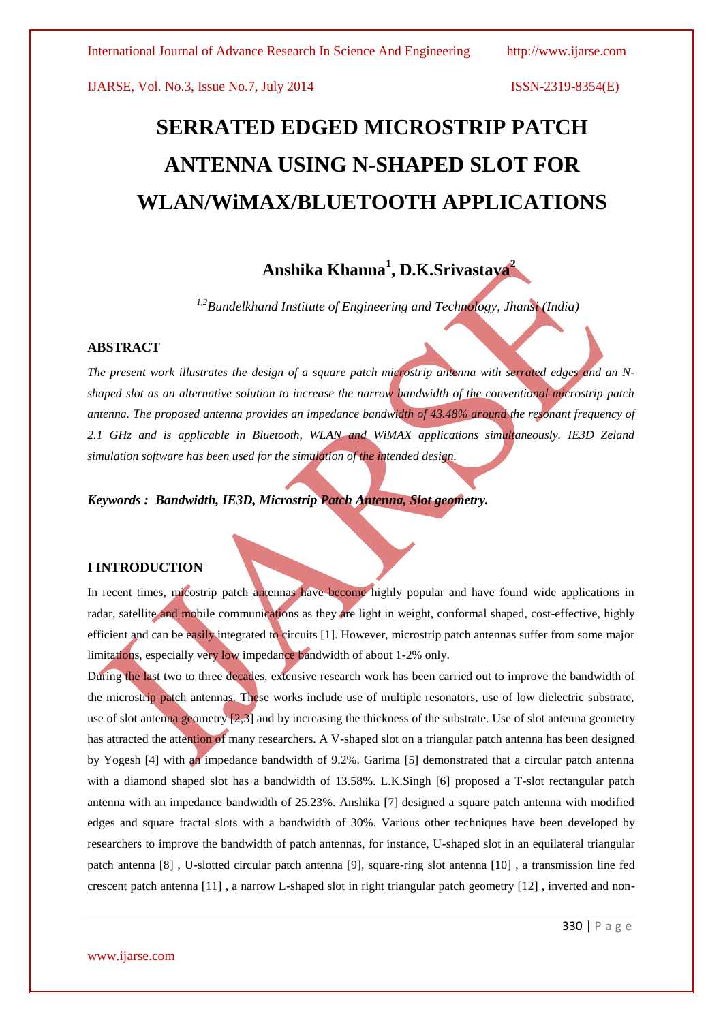# **SERRATED EDGED MICROSTRIP PATCH ANTENNA USING N-SHAPED SLOT FOR WLAN/WiMAX/BLUETOOTH APPLICATIONS**

## **Anshika Khanna<sup>1</sup> , D.K.Srivastava<sup>2</sup>**

*1,2Bundelkhand Institute of Engineering and Technology, Jhansi (India)*

#### **ABSTRACT**

*The present work illustrates the design of a square patch microstrip antenna with serrated edges and an Nshaped slot as an alternative solution to increase the narrow bandwidth of the conventional microstrip patch antenna. The proposed antenna provides an impedance bandwidth of 43.48% around the resonant frequency of 2.1 GHz and is applicable in Bluetooth, WLAN and WiMAX applications simultaneously. IE3D Zeland simulation software has been used for the simulation of the intended design.*

*Keywords : Bandwidth, IE3D, Microstrip Patch Antenna, Slot geometry.*

#### **I INTRODUCTION**

In recent times, micostrip patch antennas have become highly popular and have found wide applications in radar, satellite and mobile communications as they are light in weight, conformal shaped, cost-effective, highly efficient and can be easily integrated to circuits [1]. However, microstrip patch antennas suffer from some major limitations, especially very low impedance bandwidth of about 1-2% only.

During the last two to three decades, extensive research work has been carried out to improve the bandwidth of the microstrip patch antennas. These works include use of multiple resonators, use of low dielectric substrate, use of slot antenna geometry [2,3] and by increasing the thickness of the substrate. Use of slot antenna geometry has attracted the attention of many researchers. A V-shaped slot on a triangular patch antenna has been designed by Yogesh [4] with an impedance bandwidth of 9.2%. Garima [5] demonstrated that a circular patch antenna with a diamond shaped slot has a bandwidth of 13.58%. L.K.Singh [6] proposed a T-slot rectangular patch antenna with an impedance bandwidth of 25.23%. Anshika [7] designed a square patch antenna with modified edges and square fractal slots with a bandwidth of 30%. Various other techniques have been developed by researchers to improve the bandwidth of patch antennas, for instance, U-shaped slot in an equilateral triangular patch antenna [8] , U-slotted circular patch antenna [9], square-ring slot antenna [10] , a transmission line fed crescent patch antenna [11] , a narrow L-shaped slot in right triangular patch geometry [12] , inverted and non-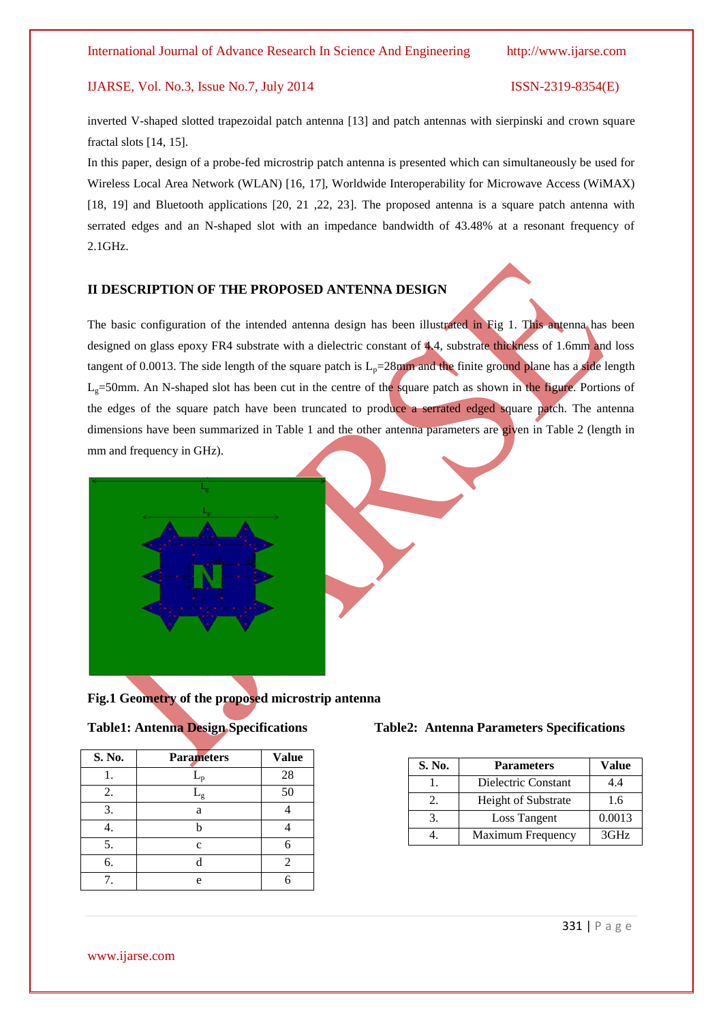inverted V-shaped slotted trapezoidal patch antenna [13] and patch antennas with sierpinski and crown square fractal slots [14, 15].

In this paper, design of a probe-fed microstrip patch antenna is presented which can simultaneously be used for Wireless Local Area Network (WLAN) [16, 17], Worldwide Interoperability for Microwave Access (WiMAX) [18, 19] and Bluetooth applications [20, 21, 22, 23]. The proposed antenna is a square patch antenna with serrated edges and an N-shaped slot with an impedance bandwidth of 43.48% at a resonant frequency of 2.1GHz.

### **II DESCRIPTION OF THE PROPOSED ANTENNA DESIGN**

The basic configuration of the intended antenna design has been illustrated in Fig 1. This antenna has been designed on glass epoxy FR4 substrate with a dielectric constant of 4.4, substrate thickness of 1.6mm and loss tangent of 0.0013. The side length of the square patch is  $L<sub>p</sub>=28$ mm and the finite ground plane has a side length  $L<sub>g</sub>=50$ mm. An N-shaped slot has been cut in the centre of the square patch as shown in the figure. Portions of the edges of the square patch have been truncated to produce a serrated edged square patch. The antenna dimensions have been summarized in Table 1 and the other antenna parameters are given in Table 2 (length in mm and frequency in GHz).



#### **Fig.1 Geometry of the proposed microstrip antenna**

| <b>Table1: Antenna Design Specifications</b> |  |  |
|----------------------------------------------|--|--|
|                                              |  |  |

| S. No. | <b>Parameters</b> | <b>Value</b> |
|--------|-------------------|--------------|
|        |                   | 28           |
| 2.     | $\frac{1}{2}$     | 50           |
| 3.     | a                 |              |
|        |                   |              |
| 5.     | c                 |              |
| 6.     |                   | 2            |
|        | e                 |              |

#### **Table2: Antenna Parameters Specifications**

| S. No. | <b>Parameters</b>          | Value  |
|--------|----------------------------|--------|
|        | Dielectric Constant        | 4.4    |
|        | <b>Height of Substrate</b> | 1.6    |
|        | Loss Tangent               | 0.0013 |
|        | Maximum Frequency          | 3GHz   |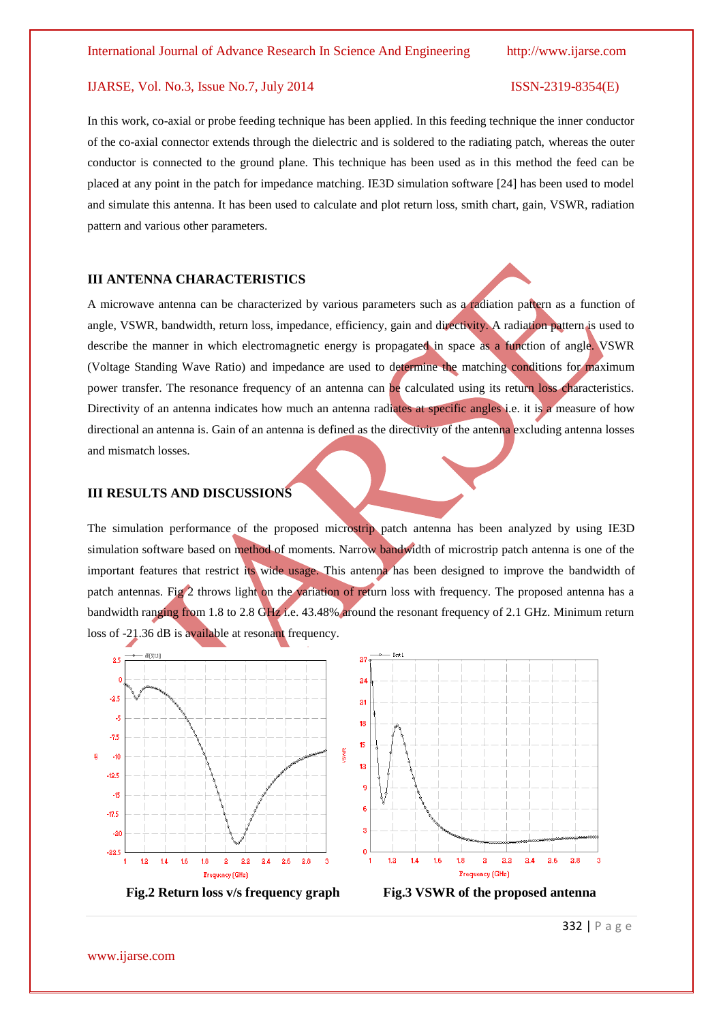In this work, co-axial or probe feeding technique has been applied. In this feeding technique the inner conductor of the co-axial connector extends through the dielectric and is soldered to the radiating patch, whereas the outer conductor is connected to the ground plane. This technique has been used as in this method the feed can be placed at any point in the patch for impedance matching. IE3D simulation software [24] has been used to model and simulate this antenna. It has been used to calculate and plot return loss, smith chart, gain, VSWR, radiation pattern and various other parameters.

#### **III ANTENNA CHARACTERISTICS**

A microwave antenna can be characterized by various parameters such as a radiation pattern as a function of angle, VSWR, bandwidth, return loss, impedance, efficiency, gain and directivity. A radiation pattern is used to describe the manner in which electromagnetic energy is propagated in space as a function of angle. VSWR (Voltage Standing Wave Ratio) and impedance are used to determine the matching conditions for maximum power transfer. The resonance frequency of an antenna can be calculated using its return loss characteristics. Directivity of an antenna indicates how much an antenna radiates at specific angles i.e. it is a measure of how directional an antenna is. Gain of an antenna is defined as the directivity of the antenna excluding antenna losses and mismatch losses.

### **III RESULTS AND DISCUSSIONS**

The simulation performance of the proposed microstrip patch antenna has been analyzed by using IE3D simulation software based on method of moments. Narrow bandwidth of microstrip patch antenna is one of the important features that restrict its wide usage. This antenna has been designed to improve the bandwidth of patch antennas. Fig 2 throws light on the variation of return loss with frequency. The proposed antenna has a bandwidth ranging from 1.8 to 2.8 GHz i.e. 43.48% around the resonant frequency of 2.1 GHz. Minimum return loss of -21.36 dB is available at resonant frequency.



332 | P a g e

www.ijarse.com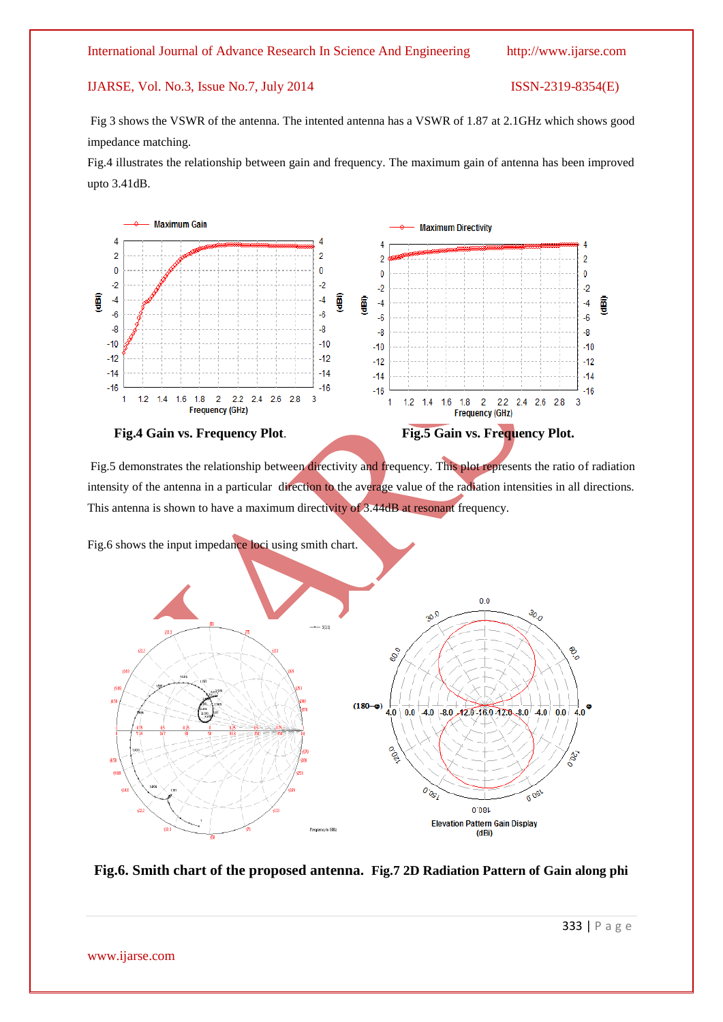#### International Journal of Advance Research In Science And Engineering http://www.ijarse.com

### IJARSE, Vol. No.3, Issue No.7, July 2014 ISSN-2319-8354(E)

Fig 3 shows the VSWR of the antenna. The intented antenna has a VSWR of 1.87 at 2.1GHz which shows good impedance matching.

Fig.4 illustrates the relationship between gain and frequency. The maximum gain of antenna has been improved upto 3.41dB.



Fig.5 demonstrates the relationship between directivity and frequency. This plot represents the ratio of radiation intensity of the antenna in a particular direction to the average value of the radiation intensities in all directions. This antenna is shown to have a maximum directivity of 3.44dB at resonant frequency.

Fig.6 shows the input impedance loci using smith chart.



**Fig.6. Smith chart of the proposed antenna. Fig.7 2D Radiation Pattern of Gain along phi**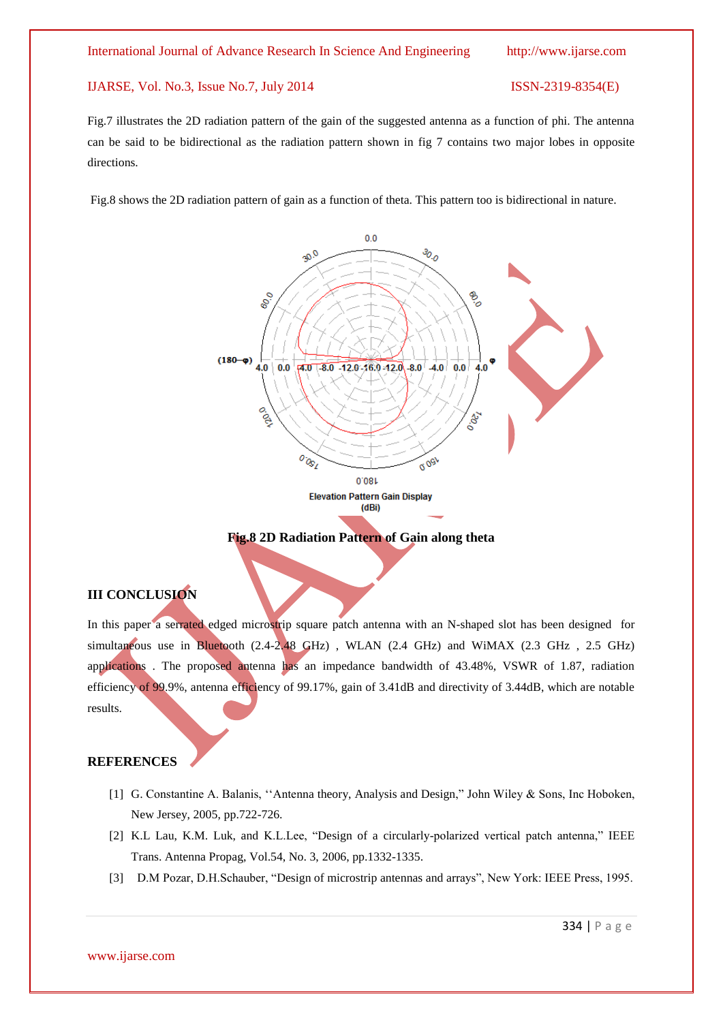Fig.7 illustrates the 2D radiation pattern of the gain of the suggested antenna as a function of phi. The antenna can be said to be bidirectional as the radiation pattern shown in fig 7 contains two major lobes in opposite directions.

Fig.8 shows the 2D radiation pattern of gain as a function of theta. This pattern too is bidirectional in nature.



### **Fig.8 2D Radiation Pattern of Gain along theta**

### **III CONCLUSION**

In this paper a serrated edged microstrip square patch antenna with an N-shaped slot has been designed for simultaneous use in Bluetooth (2.4-2.48 GHz), WLAN (2.4 GHz) and WiMAX (2.3 GHz, 2.5 GHz) applications . The proposed antenna has an impedance bandwidth of 43.48%, VSWR of 1.87, radiation efficiency of 99.9%, antenna efficiency of 99.17%, gain of 3.41dB and directivity of 3.44dB, which are notable results.

#### **REFERENCES**

- [1] G. Constantine A. Balanis, "Antenna theory, Analysis and Design," John Wiley & Sons, Inc Hoboken, New Jersey, 2005, pp.722-726.
- [2] K.L Lau, K.M. Luk, and K.L.Lee, "Design of a circularly-polarized vertical patch antenna," IEEE Trans. Antenna Propag, Vol.54, No. 3, 2006, pp.1332-1335.
- [3] D.M Pozar, D.H.Schauber, "Design of microstrip antennas and arrays", New York: IEEE Press, 1995.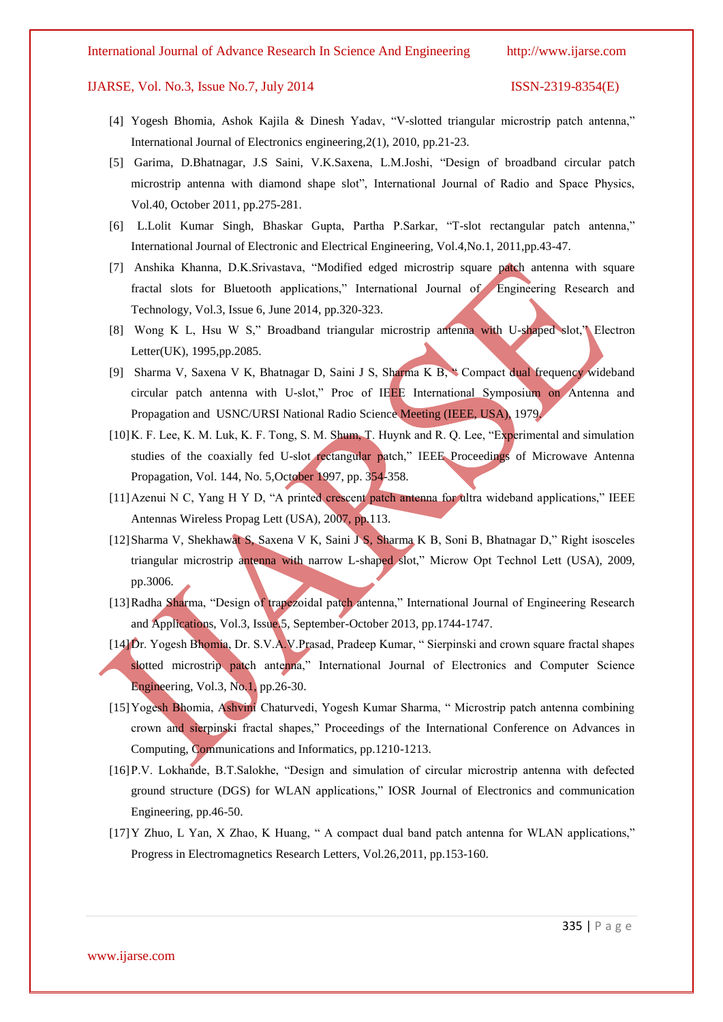#### International Journal of Advance Research In Science And Engineering http://www.ijarse.com

#### IJARSE, Vol. No.3, Issue No.7, July 2014 ISSN-2319-8354(E)

- [4] Yogesh Bhomia, Ashok Kajila & Dinesh Yadav, "V-slotted triangular microstrip patch antenna," International Journal of Electronics engineering,2(1), 2010, pp.21-23.
- [5] Garima, D.Bhatnagar, J.S Saini, V.K.Saxena, L.M.Joshi, "Design of broadband circular patch microstrip antenna with diamond shape slot", International Journal of Radio and Space Physics, Vol.40, October 2011, pp.275-281.
- [6] L.Lolit Kumar Singh, Bhaskar Gupta, Partha P.Sarkar, "T-slot rectangular patch antenna," International Journal of Electronic and Electrical Engineering, Vol.4,No.1, 2011,pp.43-47.
- [7] Anshika Khanna, D.K.Srivastava, "Modified edged microstrip square patch antenna with square fractal slots for Bluetooth applications," International Journal of Engineering Research and Technology, Vol.3, Issue 6, June 2014, pp.320-323.
- [8] Wong K L, Hsu W S," Broadband triangular microstrip antenna with U-shaped slot," Electron Letter(UK), 1995,pp.2085.
- [9] Sharma V, Saxena V K, Bhatnagar D, Saini J S, Sharma K B, " Compact dual frequency wideband circular patch antenna with U-slot," Proc of IEEE International Symposium on Antenna and Propagation and USNC/URSI National Radio Science Meeting (IEEE, USA), 1979.
- [10]K. F. Lee, K. M. Luk, K. F. Tong, S. M. Shum, T. Huynk and R. Q. Lee, "Experimental and simulation studies of the coaxially fed U-slot rectangular patch," IEEE Proceedings of Microwave Antenna Propagation, Vol. 144, No. 5,October 1997, pp. 354-358.
- [11] Azenui N C, Yang H Y D, "A printed crescent patch antenna for ultra wideband applications," IEEE Antennas Wireless Propag Lett (USA), 2007, pp.113.
- [12]Sharma V, Shekhawat S, Saxena V K, Saini J S, Sharma K B, Soni B, Bhatnagar D," Right isosceles triangular microstrip antenna with narrow L-shaped slot," Microw Opt Technol Lett (USA), 2009, pp.3006.
- [13]Radha Sharma, "Design of trapezoidal patch antenna," International Journal of Engineering Research and Applications, Vol.3, Issue.5, September-October 2013, pp.1744-1747.
- [14]Dr. Yogesh Bhomia, Dr. S.V.A.V.Prasad, Pradeep Kumar, " Sierpinski and crown square fractal shapes slotted microstrip patch antenna," International Journal of Electronics and Computer Science Engineering, Vol.3, No.1, pp.26-30.
- [15]Yogesh Bhomia, Ashvini Chaturvedi, Yogesh Kumar Sharma, " Microstrip patch antenna combining crown and sierpinski fractal shapes," Proceedings of the International Conference on Advances in Computing, Communications and Informatics, pp.1210-1213.
- [16]P.V. Lokhande, B.T.Salokhe, "Design and simulation of circular microstrip antenna with defected ground structure (DGS) for WLAN applications," IOSR Journal of Electronics and communication Engineering, pp.46-50.
- [17] Y Zhuo, L Yan, X Zhao, K Huang, " A compact dual band patch antenna for WLAN applications," Progress in Electromagnetics Research Letters, Vol.26,2011, pp.153-160.